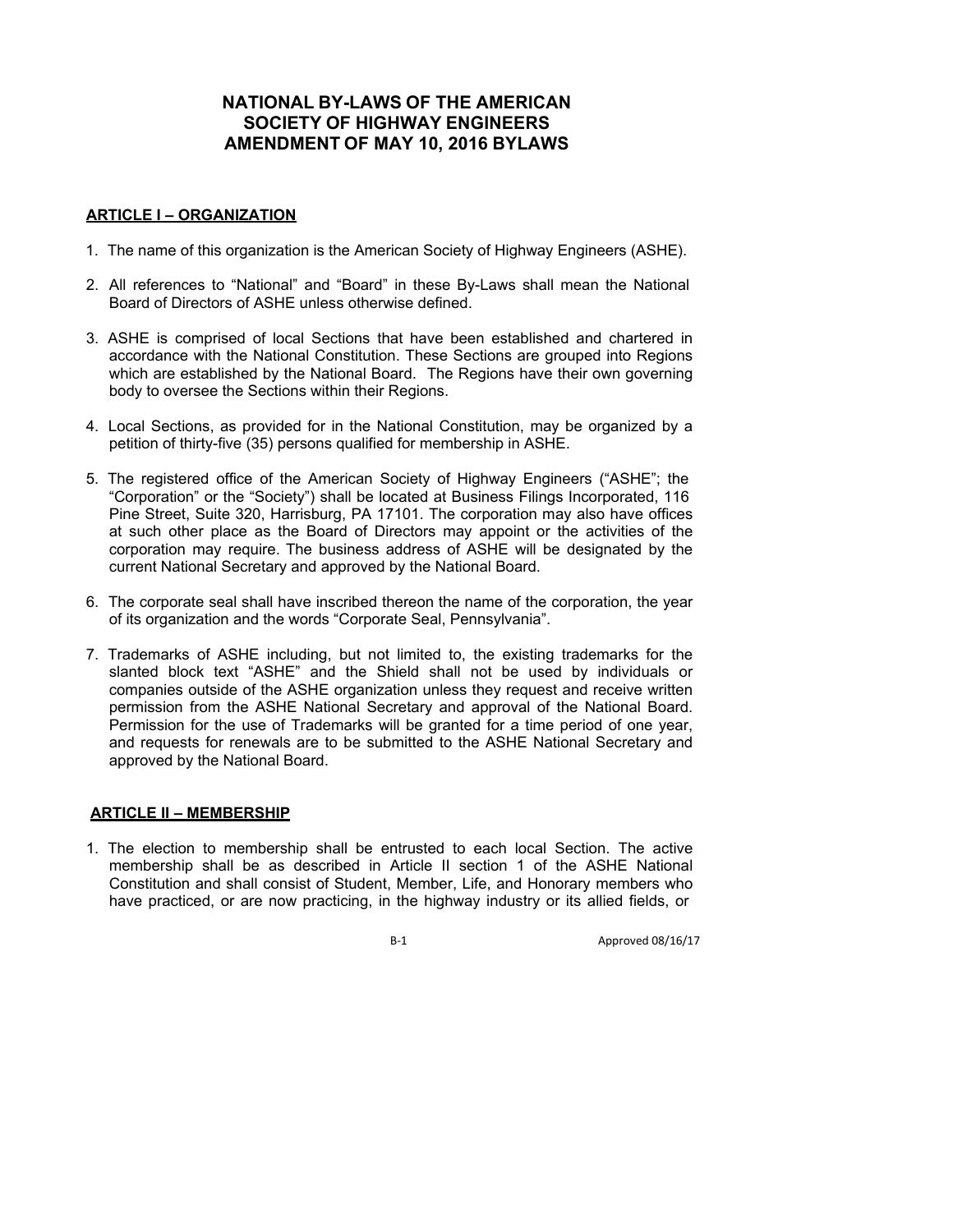# **NATIONAL BY-LAWS OF THE AMERICAN SOCIETY OF HIGHWAY ENGINEERS AMENDMENT OF MAY 10, 2016 BYLAWS**

#### **ARTICLE I – ORGANIZATION**

- 1. The name of this organization is the American Society of Highway Engineers (ASHE).
- 2. All references to "National" and "Board" in these By-Laws shall mean the National Board of Directors of ASHE unless otherwise defined.
- 3. ASHE is comprised of local Sections that have been established and chartered in accordance with the National Constitution. These Sections are grouped into Regions which are established by the National Board. The Regions have their own governing body to oversee the Sections within their Regions.
- 4. Local Sections, as provided for in the National Constitution, may be organized by a petition of thirty-five (35) persons qualified for membership in ASHE.
- 5. The registered office of the American Society of Highway Engineers ("ASHE"; the "Corporation" or the "Society") shall be located at Business Filings Incorporated, 116 Pine Street, Suite 320, Harrisburg, PA 17101. The corporation may also have offices at such other place as the Board of Directors may appoint or the activities of the corporation may require. The business address of ASHE will be designated by the current National Secretary and approved by the National Board.
- 6. The corporate seal shall have inscribed thereon the name of the corporation, the year of its organization and the words "Corporate Seal, Pennsylvania".
- 7. Trademarks of ASHE including, but not limited to, the existing trademarks for the slanted block text "ASHE" and the Shield shall not be used by individuals or companies outside of the ASHE organization unless they request and receive written permission from the ASHE National Secretary and approval of the National Board. Permission for the use of Trademarks will be granted for a time period of one year, and requests for renewals are to be submitted to the ASHE National Secretary and approved by the National Board.

### **ARTICLE II – MEMBERSHIP**

1. The election to membership shall be entrusted to each local Section. The active membership shall be as described in Article II section 1 of the ASHE National Constitution and shall consist of Student, Member, Life, and Honorary members who have practiced, or are now practicing, in the highway industry or its allied fields, or

B-1 Approved 08/16/17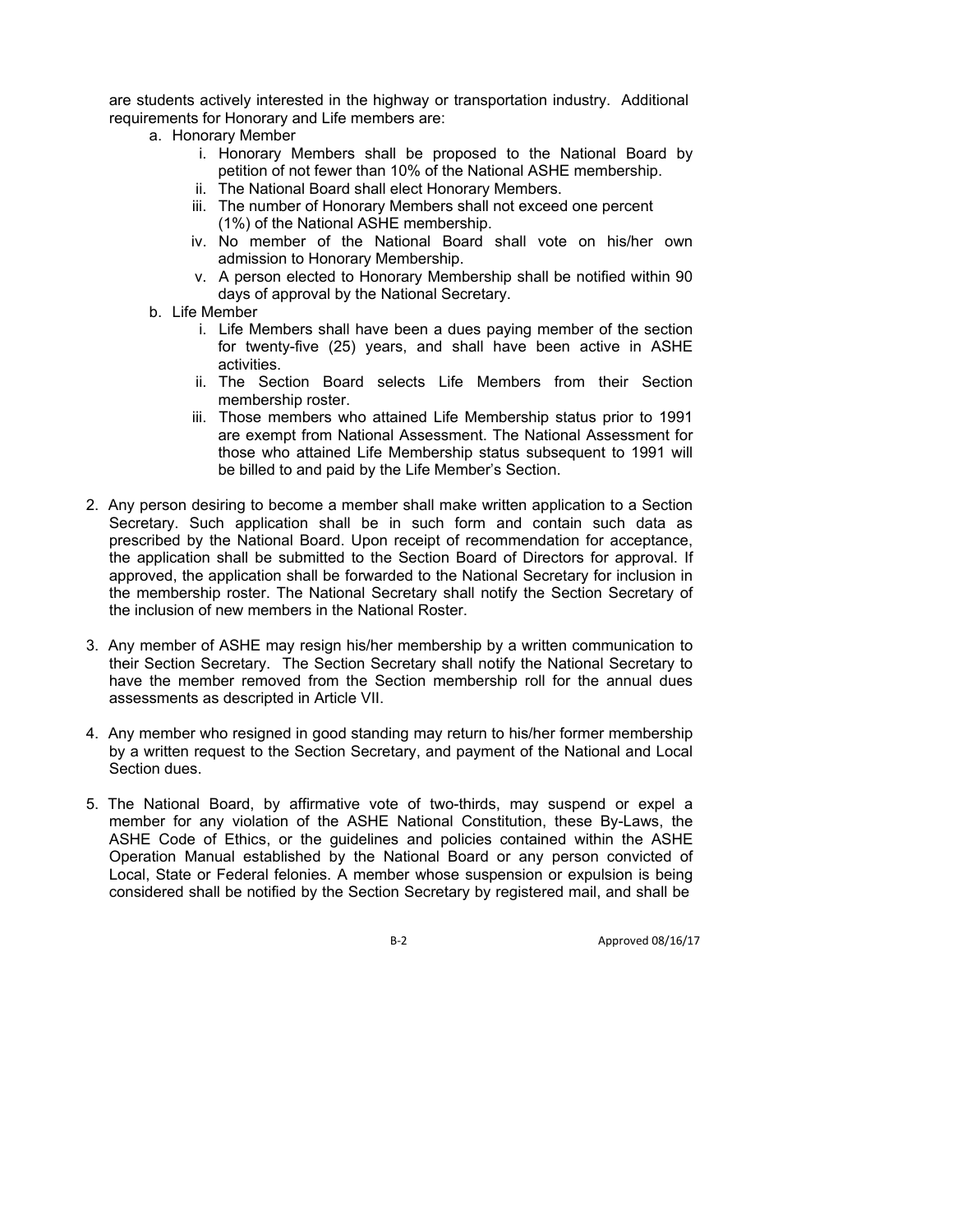are students actively interested in the highway or transportation industry. Additional requirements for Honorary and Life members are:

- a. Honorary Member
	- i. Honorary Members shall be proposed to the National Board by petition of not fewer than 10% of the National ASHE membership.
	- ii. The National Board shall elect Honorary Members.
	- iii. The number of Honorary Members shall not exceed one percent (1%) of the National ASHE membership.
	- iv. No member of the National Board shall vote on his/her own admission to Honorary Membership.
	- v. A person elected to Honorary Membership shall be notified within 90 days of approval by the National Secretary.
- b. Life Member
	- i. Life Members shall have been a dues paying member of the section for twenty-five (25) years, and shall have been active in ASHE activities.
	- ii. The Section Board selects Life Members from their Section membership roster.
	- iii. Those members who attained Life Membership status prior to 1991 are exempt from National Assessment. The National Assessment for those who attained Life Membership status subsequent to 1991 will be billed to and paid by the Life Member's Section.
- 2. Any person desiring to become a member shall make written application to a Section Secretary. Such application shall be in such form and contain such data as prescribed by the National Board. Upon receipt of recommendation for acceptance, the application shall be submitted to the Section Board of Directors for approval. If approved, the application shall be forwarded to the National Secretary for inclusion in the membership roster. The National Secretary shall notify the Section Secretary of the inclusion of new members in the National Roster.
- 3. Any member of ASHE may resign his/her membership by a written communication to their Section Secretary. The Section Secretary shall notify the National Secretary to have the member removed from the Section membership roll for the annual dues assessments as descripted in Article VII.
- 4. Any member who resigned in good standing may return to his/her former membership by a written request to the Section Secretary, and payment of the National and Local Section dues.
- 5. The National Board, by affirmative vote of two-thirds, may suspend or expel a member for any violation of the ASHE National Constitution, these By-Laws, the ASHE Code of Ethics, or the guidelines and policies contained within the ASHE Operation Manual established by the National Board or any person convicted of Local, State or Federal felonies. A member whose suspension or expulsion is being considered shall be notified by the Section Secretary by registered mail, and shall be

B‐2 Approved 08/16/17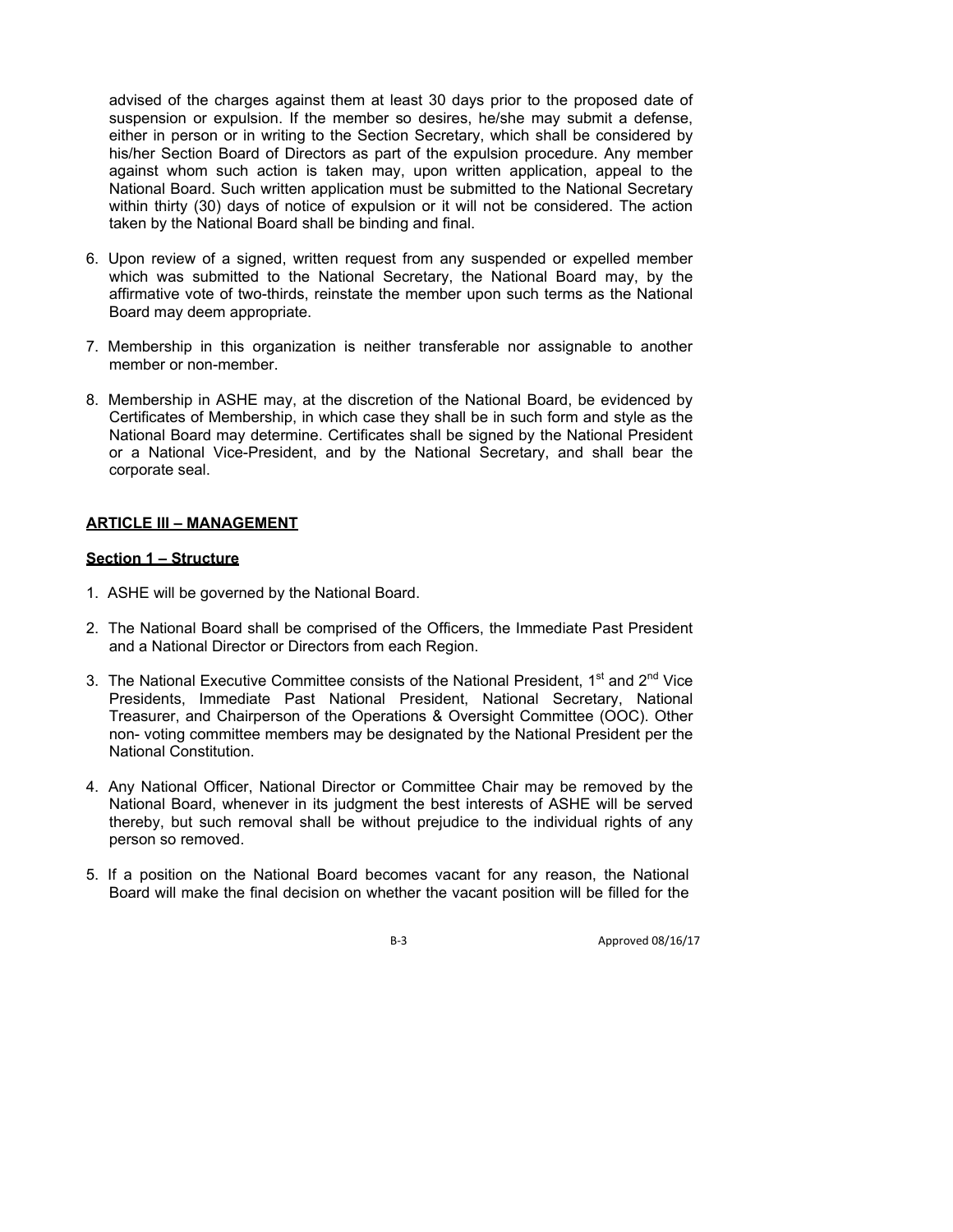advised of the charges against them at least 30 days prior to the proposed date of suspension or expulsion. If the member so desires, he/she may submit a defense, either in person or in writing to the Section Secretary, which shall be considered by his/her Section Board of Directors as part of the expulsion procedure. Any member against whom such action is taken may, upon written application, appeal to the National Board. Such written application must be submitted to the National Secretary within thirty (30) days of notice of expulsion or it will not be considered. The action taken by the National Board shall be binding and final.

- 6. Upon review of a signed, written request from any suspended or expelled member which was submitted to the National Secretary, the National Board may, by the affirmative vote of two-thirds, reinstate the member upon such terms as the National Board may deem appropriate.
- 7. Membership in this organization is neither transferable nor assignable to another member or non-member.
- 8. Membership in ASHE may, at the discretion of the National Board, be evidenced by Certificates of Membership, in which case they shall be in such form and style as the National Board may determine. Certificates shall be signed by the National President or a National Vice-President, and by the National Secretary, and shall bear the corporate seal.

### **ARTICLE III – MANAGEMENT**

#### **Section 1 – Structure**

- 1. ASHE will be governed by the National Board.
- 2. The National Board shall be comprised of the Officers, the Immediate Past President and a National Director or Directors from each Region.
- 3. The National Executive Committee consists of the National President,  $1<sup>st</sup>$  and  $2<sup>nd</sup>$  Vice Presidents, Immediate Past National President, National Secretary, National Treasurer, and Chairperson of the Operations & Oversight Committee (OOC). Other non- voting committee members may be designated by the National President per the National Constitution.
- 4. Any National Officer, National Director or Committee Chair may be removed by the National Board, whenever in its judgment the best interests of ASHE will be served thereby, but such removal shall be without prejudice to the individual rights of any person so removed.
- 5. If a position on the National Board becomes vacant for any reason, the National Board will make the final decision on whether the vacant position will be filled for the

B-3 Approved 08/16/17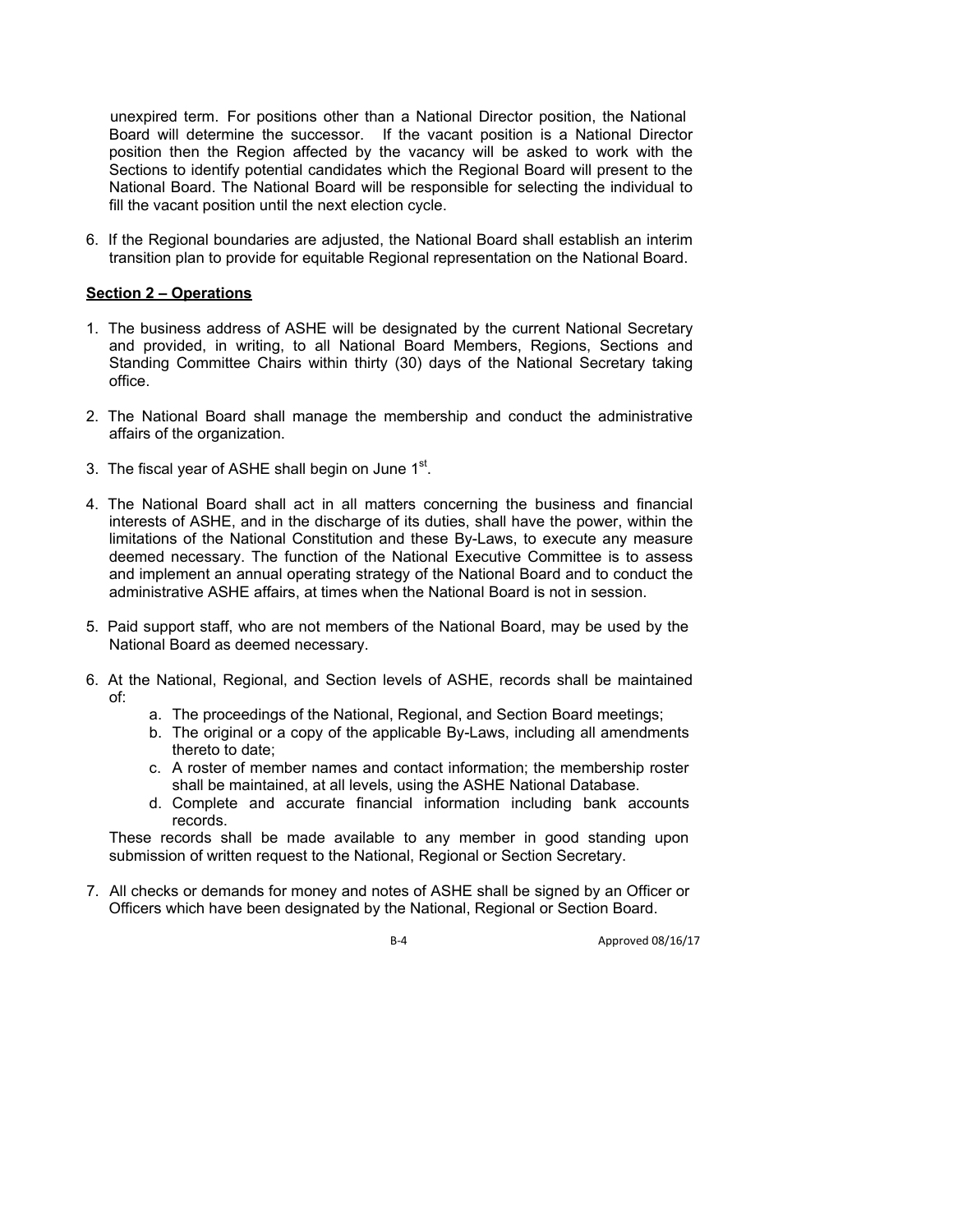unexpired term. For positions other than a National Director position, the National Board will determine the successor. If the vacant position is a National Director position then the Region affected by the vacancy will be asked to work with the Sections to identify potential candidates which the Regional Board will present to the National Board. The National Board will be responsible for selecting the individual to fill the vacant position until the next election cycle.

6. If the Regional boundaries are adjusted, the National Board shall establish an interim transition plan to provide for equitable Regional representation on the National Board.

### **Section 2 – Operations**

- 1. The business address of ASHE will be designated by the current National Secretary and provided, in writing, to all National Board Members, Regions, Sections and Standing Committee Chairs within thirty (30) days of the National Secretary taking office.
- 2. The National Board shall manage the membership and conduct the administrative affairs of the organization.
- 3. The fiscal year of ASHE shall begin on June  $1<sup>st</sup>$ .
- 4. The National Board shall act in all matters concerning the business and financial interests of ASHE, and in the discharge of its duties, shall have the power, within the limitations of the National Constitution and these By-Laws, to execute any measure deemed necessary. The function of the National Executive Committee is to assess and implement an annual operating strategy of the National Board and to conduct the administrative ASHE affairs, at times when the National Board is not in session.
- 5. Paid support staff, who are not members of the National Board, may be used by the National Board as deemed necessary.
- 6. At the National, Regional, and Section levels of ASHE, records shall be maintained of:
	- a. The proceedings of the National, Regional, and Section Board meetings;
	- b. The original or a copy of the applicable By-Laws, including all amendments thereto to date;
	- c. A roster of member names and contact information; the membership roster shall be maintained, at all levels, using the ASHE National Database.
	- d. Complete and accurate financial information including bank accounts records.

These records shall be made available to any member in good standing upon submission of written request to the National, Regional or Section Secretary.

7. All checks or demands for money and notes of ASHE shall be signed by an Officer or Officers which have been designated by the National, Regional or Section Board.

B-4 Approved 08/16/17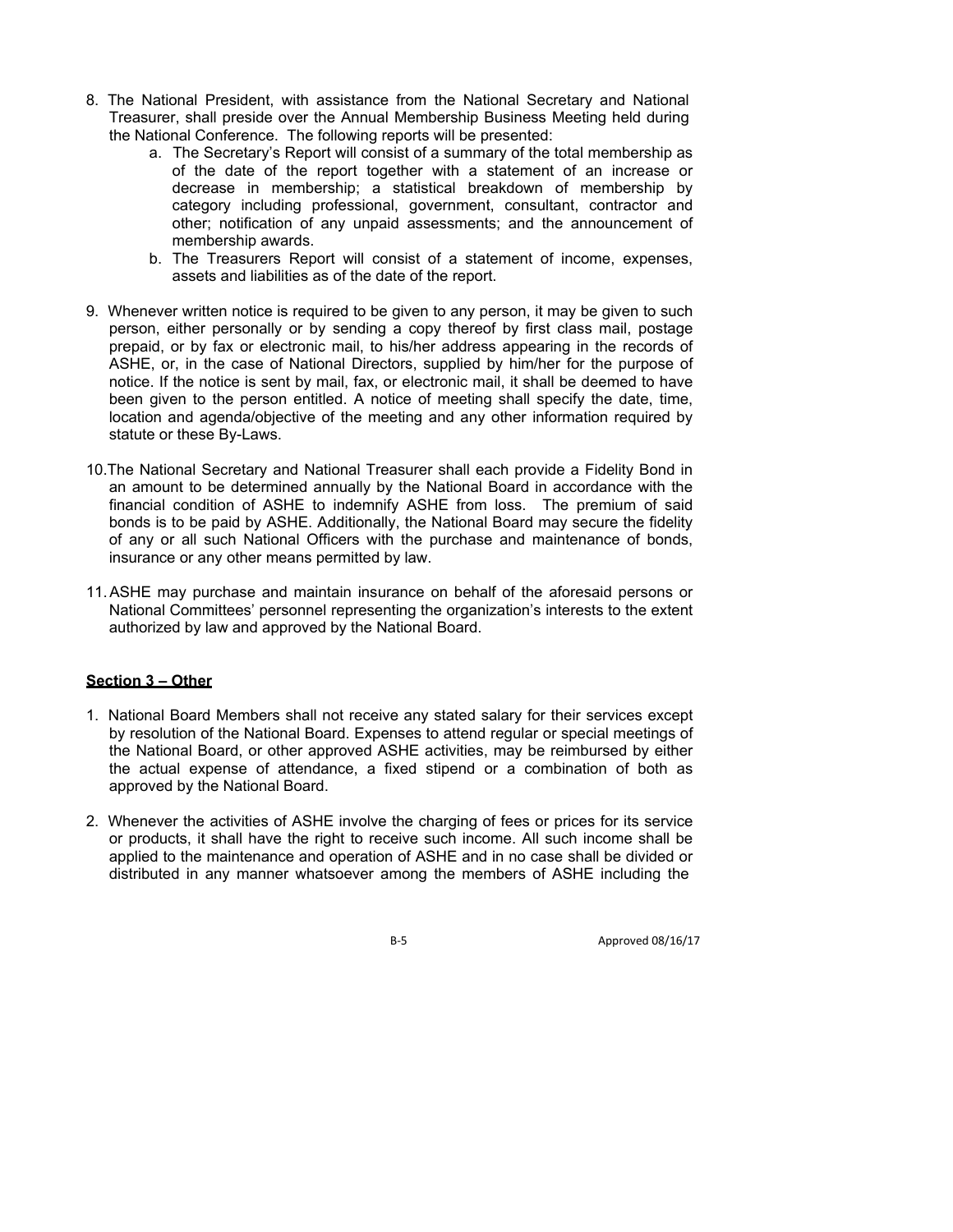- 8. The National President, with assistance from the National Secretary and National Treasurer, shall preside over the Annual Membership Business Meeting held during the National Conference. The following reports will be presented:
	- a. The Secretary's Report will consist of a summary of the total membership as of the date of the report together with a statement of an increase or decrease in membership; a statistical breakdown of membership by category including professional, government, consultant, contractor and other; notification of any unpaid assessments; and the announcement of membership awards.
	- b. The Treasurers Report will consist of a statement of income, expenses, assets and liabilities as of the date of the report.
- 9. Whenever written notice is required to be given to any person, it may be given to such person, either personally or by sending a copy thereof by first class mail, postage prepaid, or by fax or electronic mail, to his/her address appearing in the records of ASHE, or, in the case of National Directors, supplied by him/her for the purpose of notice. If the notice is sent by mail, fax, or electronic mail, it shall be deemed to have been given to the person entitled. A notice of meeting shall specify the date, time, location and agenda/objective of the meeting and any other information required by statute or these By-Laws.
- 10.The National Secretary and National Treasurer shall each provide a Fidelity Bond in an amount to be determined annually by the National Board in accordance with the financial condition of ASHE to indemnify ASHE from loss. The premium of said bonds is to be paid by ASHE. Additionally, the National Board may secure the fidelity of any or all such National Officers with the purchase and maintenance of bonds, insurance or any other means permitted by law.
- 11. ASHE may purchase and maintain insurance on behalf of the aforesaid persons or National Committees' personnel representing the organization's interests to the extent authorized by law and approved by the National Board.

### **Section 3 – Other**

- 1. National Board Members shall not receive any stated salary for their services except by resolution of the National Board. Expenses to attend regular or special meetings of the National Board, or other approved ASHE activities, may be reimbursed by either the actual expense of attendance, a fixed stipend or a combination of both as approved by the National Board.
- 2. Whenever the activities of ASHE involve the charging of fees or prices for its service or products, it shall have the right to receive such income. All such income shall be applied to the maintenance and operation of ASHE and in no case shall be divided or distributed in any manner whatsoever among the members of ASHE including the

B-5 Approved 08/16/17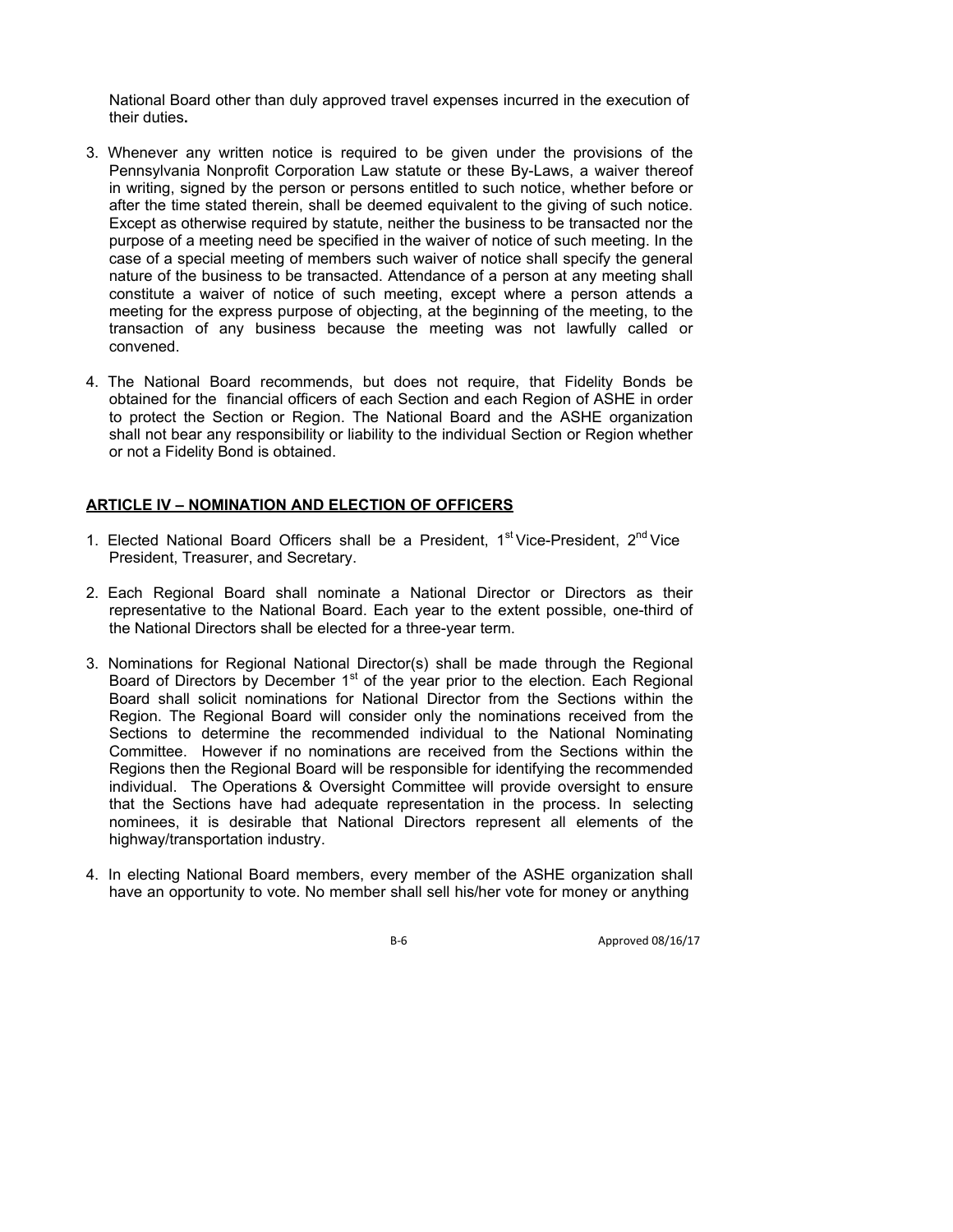National Board other than duly approved travel expenses incurred in the execution of their duties**.**

- 3. Whenever any written notice is required to be given under the provisions of the Pennsylvania Nonprofit Corporation Law statute or these By-Laws, a waiver thereof in writing, signed by the person or persons entitled to such notice, whether before or after the time stated therein, shall be deemed equivalent to the giving of such notice. Except as otherwise required by statute, neither the business to be transacted nor the purpose of a meeting need be specified in the waiver of notice of such meeting. In the case of a special meeting of members such waiver of notice shall specify the general nature of the business to be transacted. Attendance of a person at any meeting shall constitute a waiver of notice of such meeting, except where a person attends a meeting for the express purpose of objecting, at the beginning of the meeting, to the transaction of any business because the meeting was not lawfully called or convened.
- 4. The National Board recommends, but does not require, that Fidelity Bonds be obtained for the financial officers of each Section and each Region of ASHE in order to protect the Section or Region. The National Board and the ASHE organization shall not bear any responsibility or liability to the individual Section or Region whether or not a Fidelity Bond is obtained.

## **ARTICLE IV – NOMINATION AND ELECTION OF OFFICERS**

- 1. Elected National Board Officers shall be a President, 1<sup>st</sup> Vice-President, 2<sup>nd</sup> Vice President, Treasurer, and Secretary.
- 2. Each Regional Board shall nominate a National Director or Directors as their representative to the National Board. Each year to the extent possible, one-third of the National Directors shall be elected for a three-year term.
- 3. Nominations for Regional National Director(s) shall be made through the Regional Board of Directors by December  $1<sup>st</sup>$  of the year prior to the election. Each Regional Board shall solicit nominations for National Director from the Sections within the Region. The Regional Board will consider only the nominations received from the Sections to determine the recommended individual to the National Nominating Committee. However if no nominations are received from the Sections within the Regions then the Regional Board will be responsible for identifying the recommended individual. The Operations & Oversight Committee will provide oversight to ensure that the Sections have had adequate representation in the process. In selecting nominees, it is desirable that National Directors represent all elements of the highway/transportation industry.
- 4. In electing National Board members, every member of the ASHE organization shall have an opportunity to vote. No member shall sell his/her vote for money or anything

B-6 Approved 08/16/17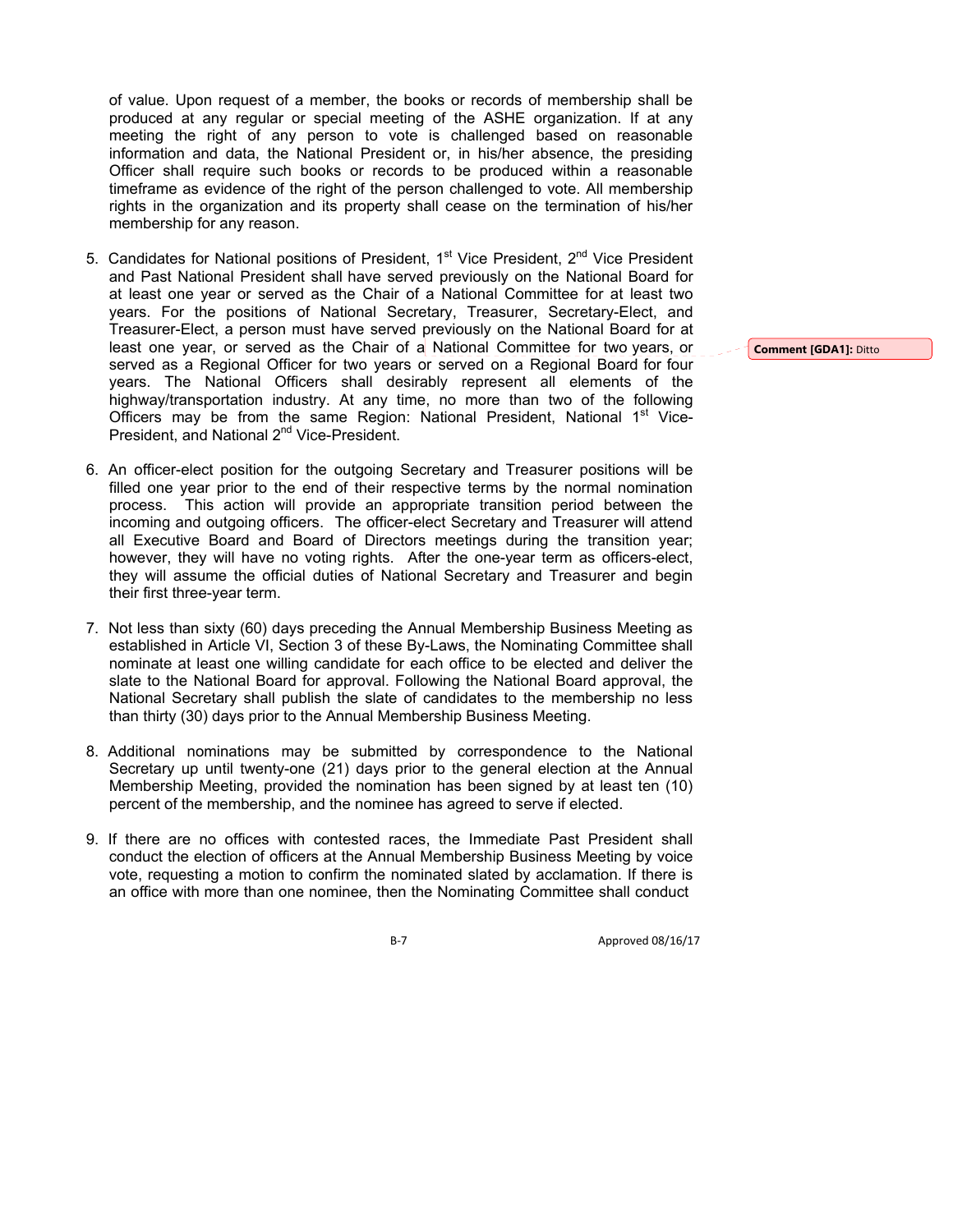of value. Upon request of a member, the books or records of membership shall be produced at any regular or special meeting of the ASHE organization. If at any meeting the right of any person to vote is challenged based on reasonable information and data, the National President or, in his/her absence, the presiding Officer shall require such books or records to be produced within a reasonable timeframe as evidence of the right of the person challenged to vote. All membership rights in the organization and its property shall cease on the termination of his/her membership for any reason.

- 5. Candidates for National positions of President, 1<sup>st</sup> Vice President, 2<sup>nd</sup> Vice President and Past National President shall have served previously on the National Board for at least one year or served as the Chair of a National Committee for at least two years. For the positions of National Secretary, Treasurer, Secretary-Elect, and Treasurer-Elect, a person must have served previously on the National Board for at least one year, or served as the Chair of a National Committee for two years, or served as a Regional Officer for two years or served on a Regional Board for four years. The National Officers shall desirably represent all elements of the highway/transportation industry. At any time, no more than two of the following Officers may be from the same Region: National President, National 1<sup>st</sup> Vice-President, and National 2<sup>nd</sup> Vice-President.
- 6. An officer-elect position for the outgoing Secretary and Treasurer positions will be filled one year prior to the end of their respective terms by the normal nomination process. This action will provide an appropriate transition period between the incoming and outgoing officers. The officer-elect Secretary and Treasurer will attend all Executive Board and Board of Directors meetings during the transition year; however, they will have no voting rights. After the one-year term as officers-elect, they will assume the official duties of National Secretary and Treasurer and begin their first three-year term.
- 7. Not less than sixty (60) days preceding the Annual Membership Business Meeting as established in Article VI, Section 3 of these By-Laws, the Nominating Committee shall nominate at least one willing candidate for each office to be elected and deliver the slate to the National Board for approval. Following the National Board approval, the National Secretary shall publish the slate of candidates to the membership no less than thirty (30) days prior to the Annual Membership Business Meeting.
- 8. Additional nominations may be submitted by correspondence to the National Secretary up until twenty-one (21) days prior to the general election at the Annual Membership Meeting, provided the nomination has been signed by at least ten (10) percent of the membership, and the nominee has agreed to serve if elected.
- 9. If there are no offices with contested races, the Immediate Past President shall conduct the election of officers at the Annual Membership Business Meeting by voice vote, requesting a motion to confirm the nominated slated by acclamation. If there is an office with more than one nominee, then the Nominating Committee shall conduct

B-7 Approved 08/16/17

**Comment [GDA1]:** Ditto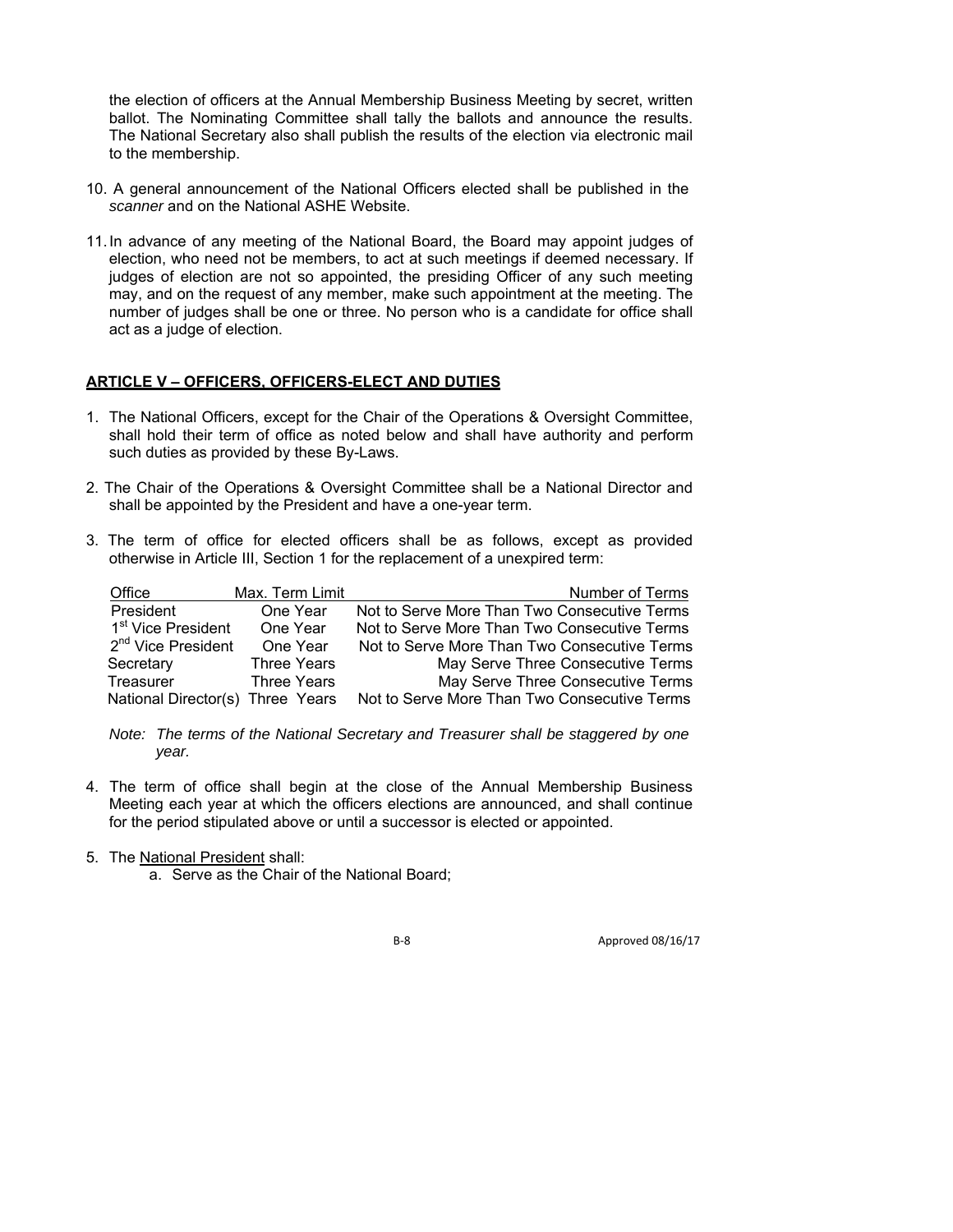the election of officers at the Annual Membership Business Meeting by secret, written ballot. The Nominating Committee shall tally the ballots and announce the results. The National Secretary also shall publish the results of the election via electronic mail to the membership.

- 10. A general announcement of the National Officers elected shall be published in the *scanner* and on the National ASHE Website.
- 11. In advance of any meeting of the National Board, the Board may appoint judges of election, who need not be members, to act at such meetings if deemed necessary. If judges of election are not so appointed, the presiding Officer of any such meeting may, and on the request of any member, make such appointment at the meeting. The number of judges shall be one or three. No person who is a candidate for office shall act as a judge of election.

### **ARTICLE V – OFFICERS, OFFICERS-ELECT AND DUTIES**

- 1. The National Officers, except for the Chair of the Operations & Oversight Committee, shall hold their term of office as noted below and shall have authority and perform such duties as provided by these By-Laws.
- 2. The Chair of the Operations & Oversight Committee shall be a National Director and shall be appointed by the President and have a one-year term.
- 3. The term of office for elected officers shall be as follows, except as provided otherwise in Article III, Section 1 for the replacement of a unexpired term:

| Office                           | Max. Term Limit    | Number of Terms                              |
|----------------------------------|--------------------|----------------------------------------------|
| President                        | One Year           | Not to Serve More Than Two Consecutive Terms |
| 1 <sup>st</sup> Vice President   | One Year           | Not to Serve More Than Two Consecutive Terms |
| 2 <sup>nd</sup> Vice President   | One Year           | Not to Serve More Than Two Consecutive Terms |
| Secretary                        | <b>Three Years</b> | May Serve Three Consecutive Terms            |
| Treasurer                        | <b>Three Years</b> | May Serve Three Consecutive Terms            |
| National Director(s) Three Years |                    | Not to Serve More Than Two Consecutive Terms |

*Note: The terms of the National Secretary and Treasurer shall be staggered by one year.*

- 4. The term of office shall begin at the close of the Annual Membership Business Meeting each year at which the officers elections are announced, and shall continue for the period stipulated above or until a successor is elected or appointed.
- 5. The National President shall:
	- a. Serve as the Chair of the National Board;

B-8 Approved 08/16/17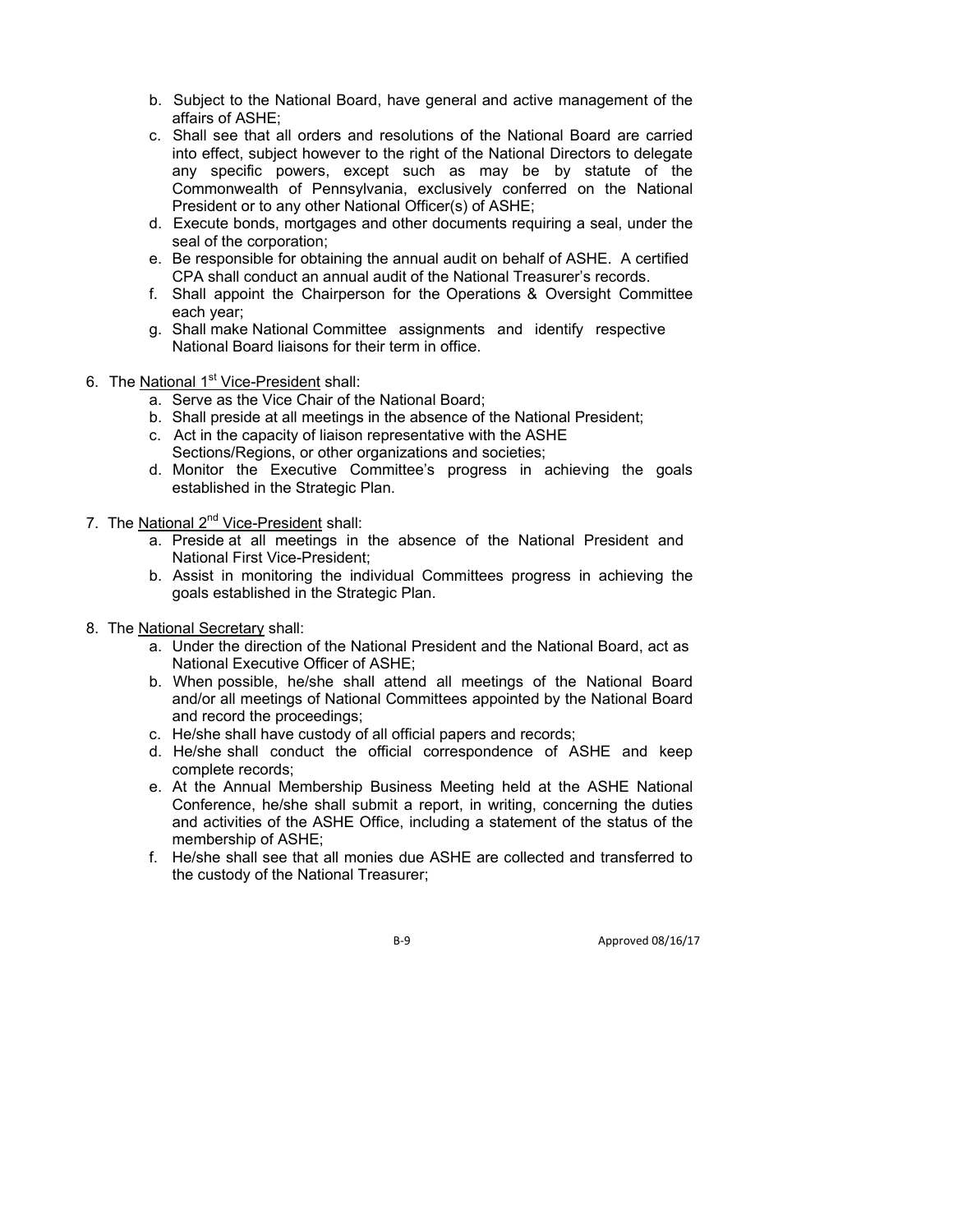- b. Subject to the National Board, have general and active management of the affairs of ASHE;
- c. Shall see that all orders and resolutions of the National Board are carried into effect, subject however to the right of the National Directors to delegate any specific powers, except such as may be by statute of the Commonwealth of Pennsylvania, exclusively conferred on the National President or to any other National Officer(s) of ASHE;
- d. Execute bonds, mortgages and other documents requiring a seal, under the seal of the corporation;
- e. Be responsible for obtaining the annual audit on behalf of ASHE. A certified CPA shall conduct an annual audit of the National Treasurer's records.
- f. Shall appoint the Chairperson for the Operations & Oversight Committee each year;
- g. Shall make National Committee assignments and identify respective National Board liaisons for their term in office.
- 6. The National 1<sup>st</sup> Vice-President shall:
	- a. Serve as the Vice Chair of the National Board;
	- b. Shall preside at all meetings in the absence of the National President;
	- c. Act in the capacity of liaison representative with the ASHE Sections/Regions, or other organizations and societies;
	- d. Monitor the Executive Committee's progress in achieving the goals established in the Strategic Plan.
- 7. The National 2<sup>nd</sup> Vice-President shall:
	- a. Preside at all meetings in the absence of the National President and National First Vice-President;
	- b. Assist in monitoring the individual Committees progress in achieving the goals established in the Strategic Plan.
- 8. The National Secretary shall:
	- a. Under the direction of the National President and the National Board, act as National Executive Officer of ASHE;
	- b. When possible, he/she shall attend all meetings of the National Board and/or all meetings of National Committees appointed by the National Board and record the proceedings;
	- c. He/she shall have custody of all official papers and records;
	- d. He/she shall conduct the official correspondence of ASHE and keep complete records;
	- e. At the Annual Membership Business Meeting held at the ASHE National Conference, he/she shall submit a report, in writing, concerning the duties and activities of the ASHE Office, including a statement of the status of the membership of ASHE;
	- f. He/she shall see that all monies due ASHE are collected and transferred to the custody of the National Treasurer;

B-9 Approved 08/16/17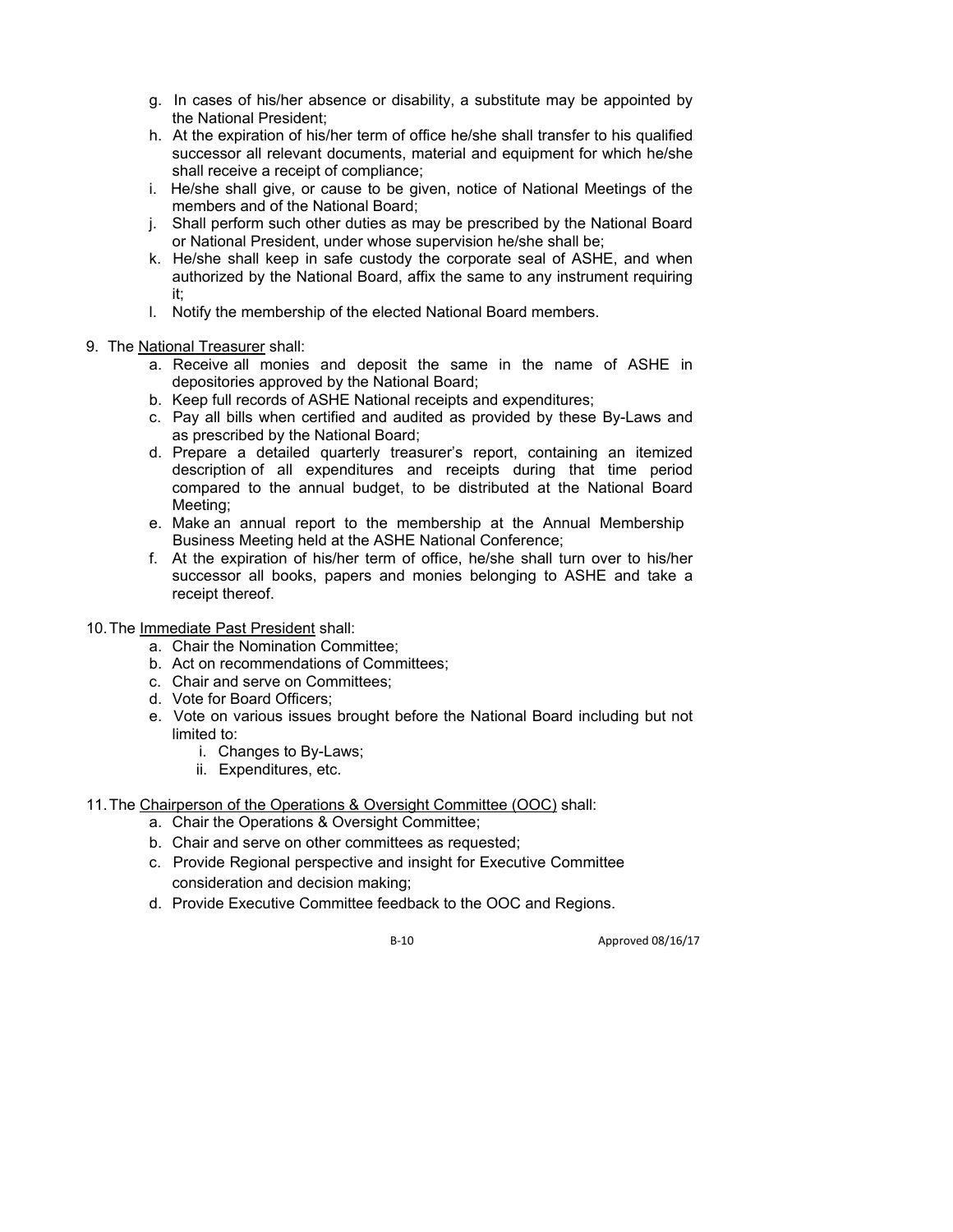- g. In cases of his/her absence or disability, a substitute may be appointed by the National President;
- h. At the expiration of his/her term of office he/she shall transfer to his qualified successor all relevant documents, material and equipment for which he/she shall receive a receipt of compliance;
- i. He/she shall give, or cause to be given, notice of National Meetings of the members and of the National Board;
- j. Shall perform such other duties as may be prescribed by the National Board or National President, under whose supervision he/she shall be;
- k. He/she shall keep in safe custody the corporate seal of ASHE, and when authorized by the National Board, affix the same to any instrument requiring it;
- l. Notify the membership of the elected National Board members.
- 9. The National Treasurer shall:
	- a. Receive all monies and deposit the same in the name of ASHE in depositories approved by the National Board;
	- b. Keep full records of ASHE National receipts and expenditures;
	- c. Pay all bills when certified and audited as provided by these By-Laws and as prescribed by the National Board;
	- d. Prepare a detailed quarterly treasurer's report, containing an itemized description of all expenditures and receipts during that time period compared to the annual budget, to be distributed at the National Board Meeting;
	- e. Make an annual report to the membership at the Annual Membership Business Meeting held at the ASHE National Conference;
	- f. At the expiration of his/her term of office, he/she shall turn over to his/her successor all books, papers and monies belonging to ASHE and take a receipt thereof.
- 10. The Immediate Past President shall:
	- a. Chair the Nomination Committee;
	- b. Act on recommendations of Committees;
	- c. Chair and serve on Committees;
	- d. Vote for Board Officers;
	- e. Vote on various issues brought before the National Board including but not limited to:
		- i. Changes to By-Laws;
		- ii. Expenditures, etc.
- 11. The Chairperson of the Operations & Oversight Committee (OOC) shall:
	- a. Chair the Operations & Oversight Committee;
	- b. Chair and serve on other committees as requested;
	- c. Provide Regional perspective and insight for Executive Committee consideration and decision making;
	- d. Provide Executive Committee feedback to the OOC and Regions.

B-10 Approved 08/16/17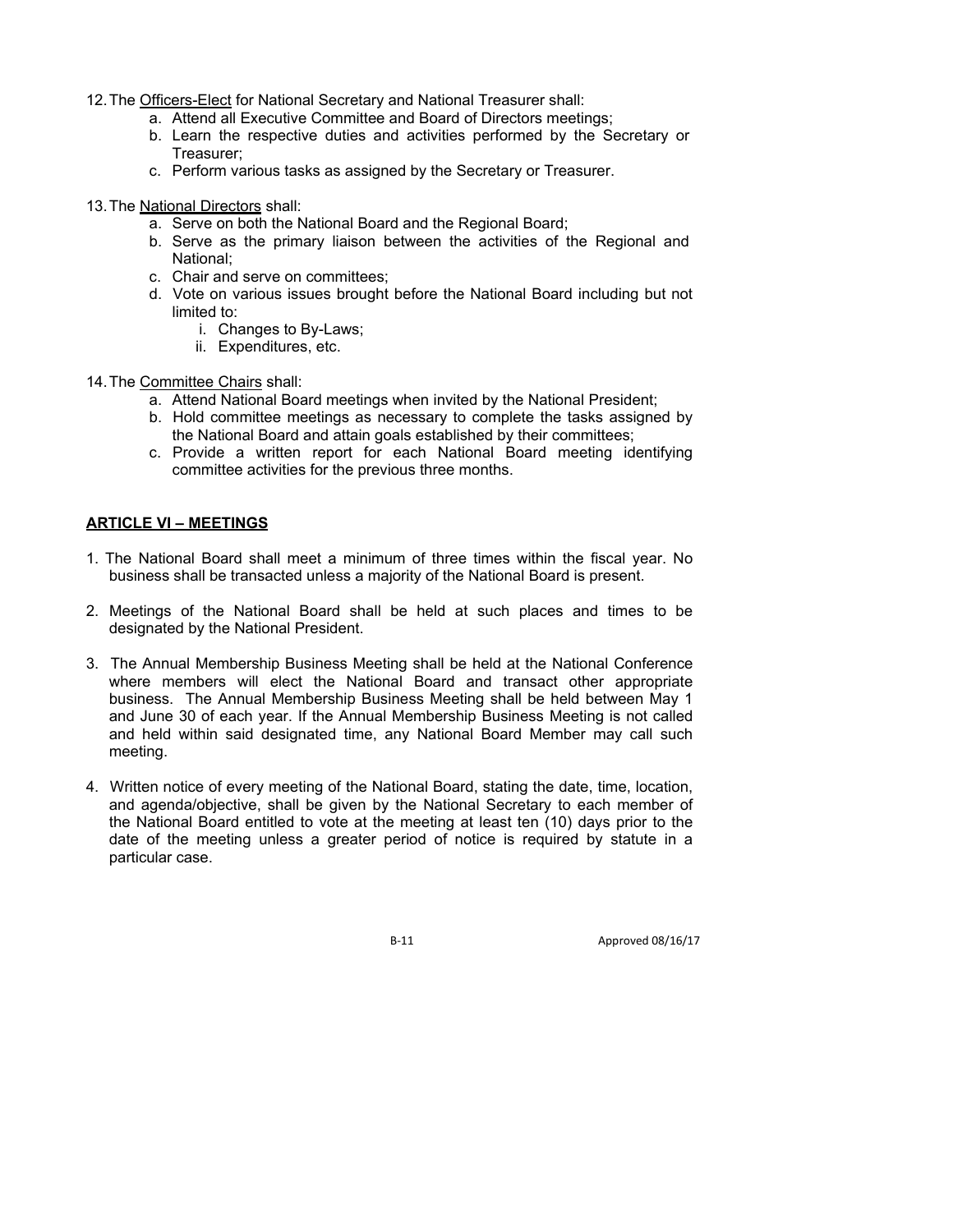- 12. The Officers-Elect for National Secretary and National Treasurer shall:
	- a. Attend all Executive Committee and Board of Directors meetings;
	- b. Learn the respective duties and activities performed by the Secretary or Treasurer;
	- c. Perform various tasks as assigned by the Secretary or Treasurer.
- 13. The National Directors shall:
	- a. Serve on both the National Board and the Regional Board;
	- b. Serve as the primary liaison between the activities of the Regional and National;
	- c. Chair and serve on committees;
	- d. Vote on various issues brought before the National Board including but not limited to:
		- i. Changes to By-Laws;
		- ii. Expenditures, etc.
- 14. The Committee Chairs shall:
	- a. Attend National Board meetings when invited by the National President;
	- b. Hold committee meetings as necessary to complete the tasks assigned by the National Board and attain goals established by their committees;
	- c. Provide a written report for each National Board meeting identifying committee activities for the previous three months.

## **ARTICLE VI – MEETINGS**

- 1. The National Board shall meet a minimum of three times within the fiscal year. No business shall be transacted unless a majority of the National Board is present.
- 2. Meetings of the National Board shall be held at such places and times to be designated by the National President.
- 3. The Annual Membership Business Meeting shall be held at the National Conference where members will elect the National Board and transact other appropriate business. The Annual Membership Business Meeting shall be held between May 1 and June 30 of each year. If the Annual Membership Business Meeting is not called and held within said designated time, any National Board Member may call such meeting.
- 4. Written notice of every meeting of the National Board, stating the date, time, location, and agenda/objective, shall be given by the National Secretary to each member of the National Board entitled to vote at the meeting at least ten (10) days prior to the date of the meeting unless a greater period of notice is required by statute in a particular case.

B-11 Approved 08/16/17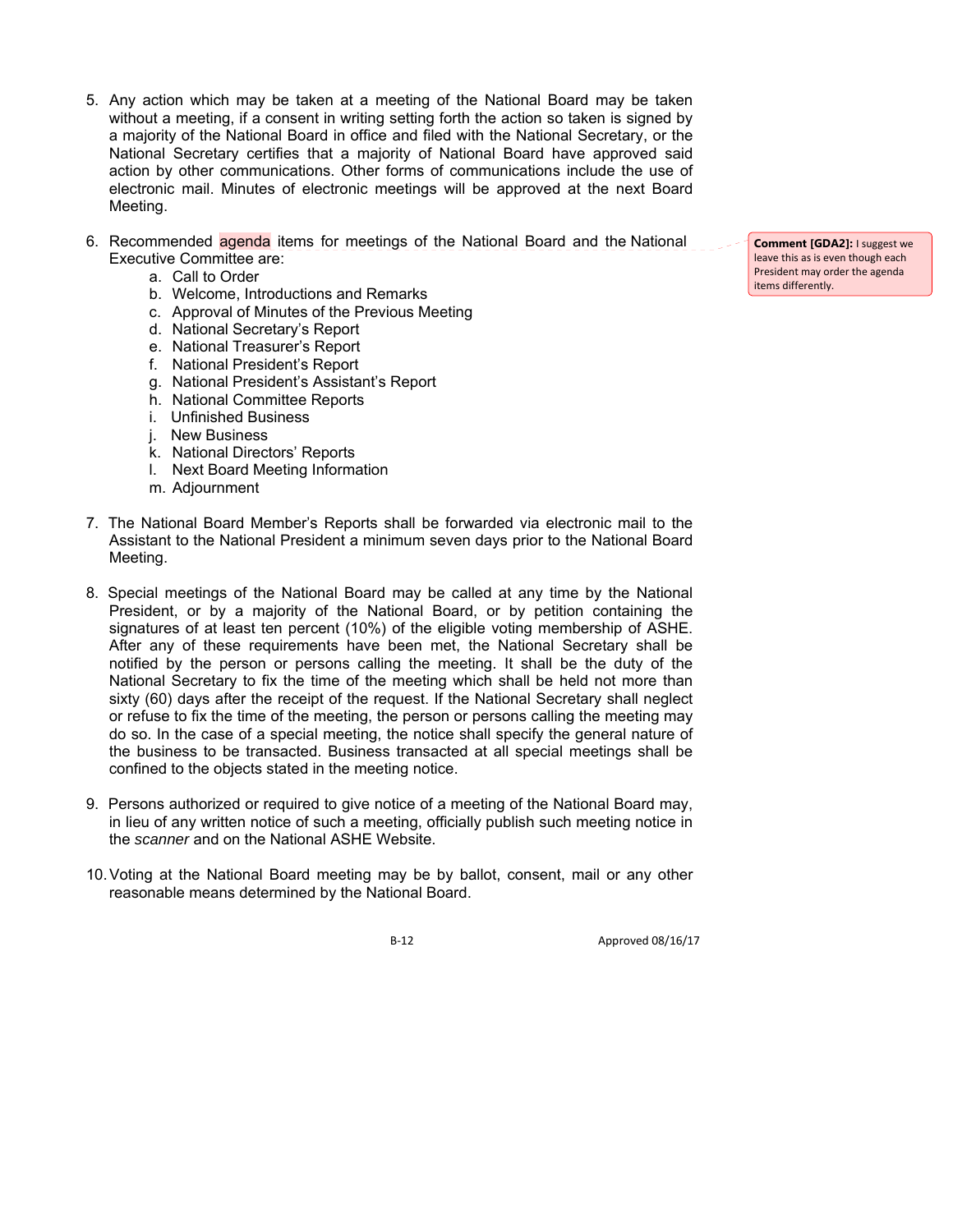- 5. Any action which may be taken at a meeting of the National Board may be taken without a meeting, if a consent in writing setting forth the action so taken is signed by a majority of the National Board in office and filed with the National Secretary, or the National Secretary certifies that a majority of National Board have approved said action by other communications. Other forms of communications include the use of electronic mail. Minutes of electronic meetings will be approved at the next Board Meeting.
- 6. Recommended agenda items for meetings of the National Board and the National Executive Committee are:
	- a. Call to Order
	- b. Welcome, Introductions and Remarks
	- c. Approval of Minutes of the Previous Meeting
	- d. National Secretary's Report
	- e. National Treasurer's Report
	- f. National President's Report
	- g. National President's Assistant's Report
	- h. National Committee Reports
	- i. Unfinished Business
	- j. New Business
	- k. National Directors' Reports
	- l. Next Board Meeting Information
	- m. Adjournment
- 7. The National Board Member's Reports shall be forwarded via electronic mail to the Assistant to the National President a minimum seven days prior to the National Board Meeting.
- 8. Special meetings of the National Board may be called at any time by the National President, or by a majority of the National Board, or by petition containing the signatures of at least ten percent (10%) of the eligible voting membership of ASHE. After any of these requirements have been met, the National Secretary shall be notified by the person or persons calling the meeting. It shall be the duty of the National Secretary to fix the time of the meeting which shall be held not more than sixty (60) days after the receipt of the request. If the National Secretary shall neglect or refuse to fix the time of the meeting, the person or persons calling the meeting may do so. In the case of a special meeting, the notice shall specify the general nature of the business to be transacted. Business transacted at all special meetings shall be confined to the objects stated in the meeting notice.
- 9. Persons authorized or required to give notice of a meeting of the National Board may, in lieu of any written notice of such a meeting, officially publish such meeting notice in the *scanner* and on the National ASHE Website.
- 10. Voting at the National Board meeting may be by ballot, consent, mail or any other reasonable means determined by the National Board.

B-12 Approved 08/16/17

**Comment [GDA2]:** I suggest we leave this as is even though each President may order the agenda items differently.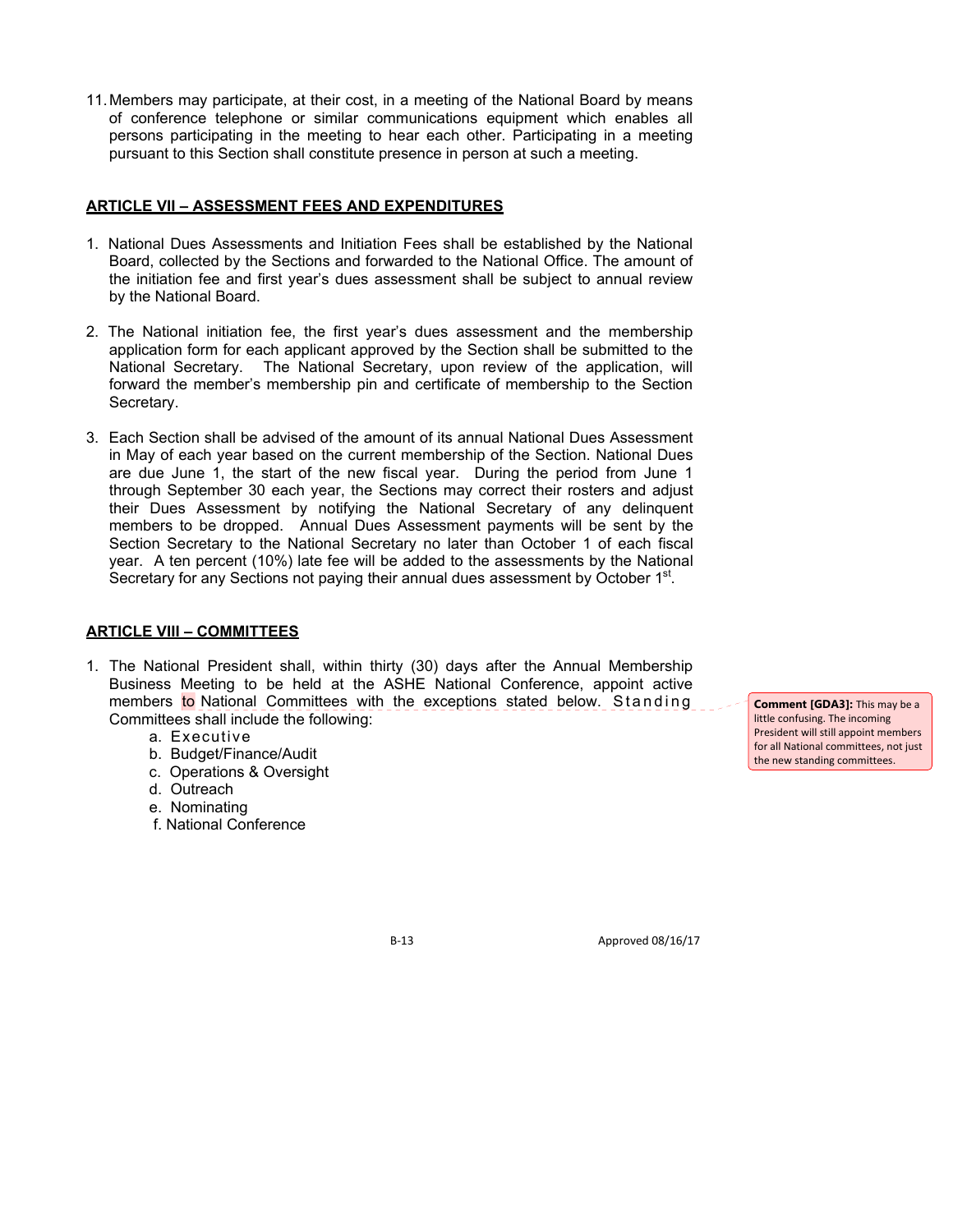11. Members may participate, at their cost, in a meeting of the National Board by means of conference telephone or similar communications equipment which enables all persons participating in the meeting to hear each other. Participating in a meeting pursuant to this Section shall constitute presence in person at such a meeting.

## **ARTICLE VII – ASSESSMENT FEES AND EXPENDITURES**

- 1. National Dues Assessments and Initiation Fees shall be established by the National Board, collected by the Sections and forwarded to the National Office. The amount of the initiation fee and first year's dues assessment shall be subject to annual review by the National Board.
- 2. The National initiation fee, the first year's dues assessment and the membership application form for each applicant approved by the Section shall be submitted to the National Secretary. The National Secretary, upon review of the application, will forward the member's membership pin and certificate of membership to the Section Secretary.
- 3. Each Section shall be advised of the amount of its annual National Dues Assessment in May of each year based on the current membership of the Section. National Dues are due June 1, the start of the new fiscal year. During the period from June 1 through September 30 each year, the Sections may correct their rosters and adjust their Dues Assessment by notifying the National Secretary of any delinquent members to be dropped. Annual Dues Assessment payments will be sent by the Section Secretary to the National Secretary no later than October 1 of each fiscal year. A ten percent (10%) late fee will be added to the assessments by the National Secretary for any Sections not paying their annual dues assessment by October 1<sup>st</sup>.

### **ARTICLE VIII – COMMITTEES**

- 1. The National President shall, within thirty (30) days after the Annual Membership Business Meeting to be held at the ASHE National Conference, appoint active members to National Committees with the exceptions stated below. Standing Committees shall include the following:
	- a. Executive
	- b. Budget/Finance/Audit
	- c. Operations & Oversight
	- d. Outreach
	- e. Nominating
	- f. National Conference

**Comment [GDA3]:** This may be a little confusing. The incoming President will still appoint members for all National committees, not just the new standing committees.

B-13 Approved 08/16/17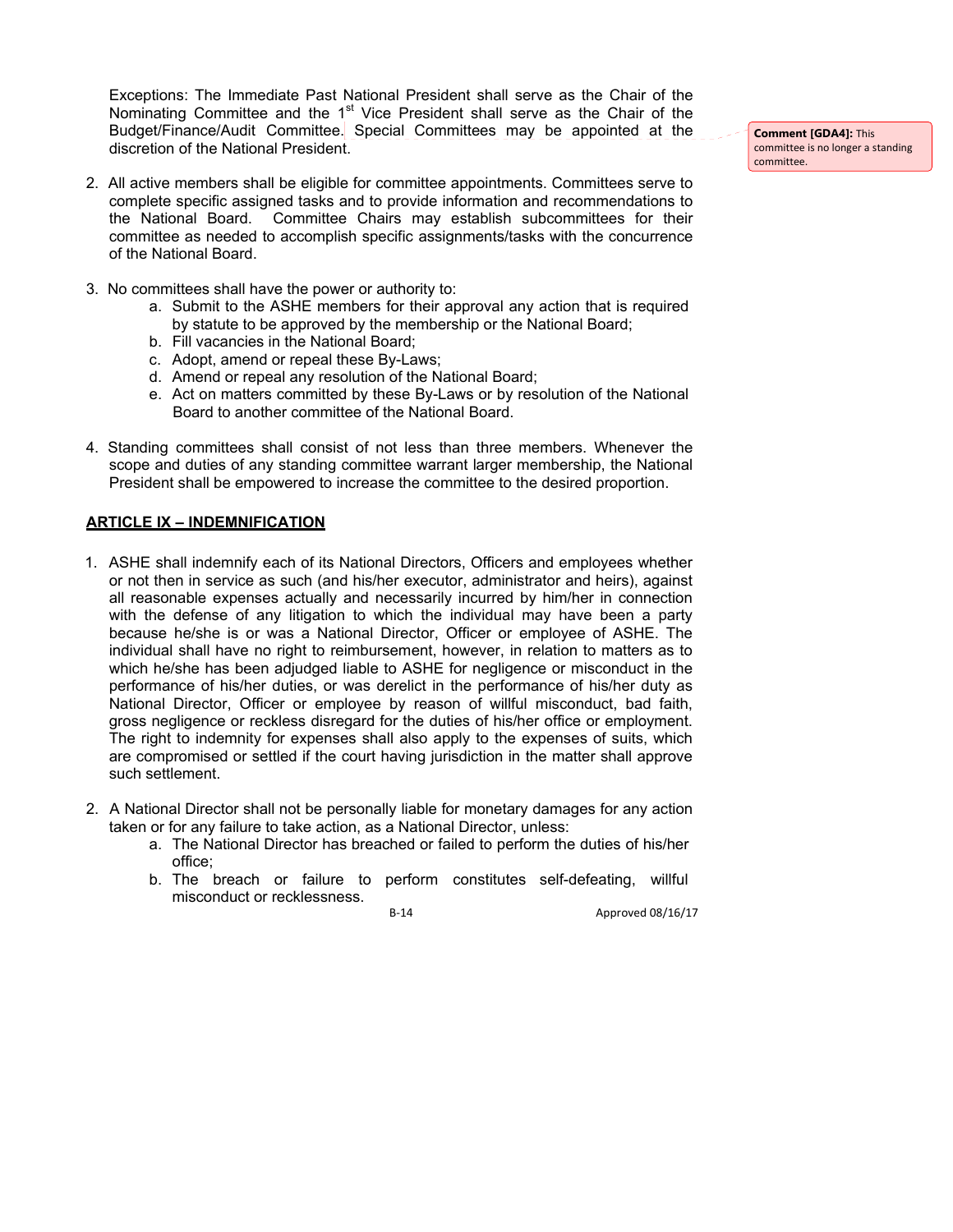Exceptions: The Immediate Past National President shall serve as the Chair of the Nominating Committee and the 1<sup>st</sup> Vice President shall serve as the Chair of the Budget/Finance/Audit Committee. Special Committees may be appointed at the discretion of the National President.

- complete specific assigned tasks and to provide information and recommendations to the National Board. Committee Chairs may establish subcommittees for their committee as needed to accomplish specific assignments/tasks with the concurrence of the National Board.
- 3. No committees shall have the power or authority to:
	- a. Submit to the ASHE members for their approval any action that is required by statute to be approved by the membership or the National Board;
	- b. Fill vacancies in the National Board;
	- c. Adopt, amend or repeal these By-Laws;
	- d. Amend or repeal any resolution of the National Board;
	- e. Act on matters committed by these By-Laws or by resolution of the National Board to another committee of the National Board.
- 4. Standing committees shall consist of not less than three members. Whenever the scope and duties of any standing committee warrant larger membership, the National President shall be empowered to increase the committee to the desired proportion.

### **ARTICLE IX – INDEMNIFICATION**

- 1. ASHE shall indemnify each of its National Directors, Officers and employees whether or not then in service as such (and his/her executor, administrator and heirs), against all reasonable expenses actually and necessarily incurred by him/her in connection with the defense of any litigation to which the individual may have been a party because he/she is or was a National Director, Officer or employee of ASHE. The individual shall have no right to reimbursement, however, in relation to matters as to which he/she has been adjudged liable to ASHE for negligence or misconduct in the performance of his/her duties, or was derelict in the performance of his/her duty as National Director, Officer or employee by reason of willful misconduct, bad faith, gross negligence or reckless disregard for the duties of his/her office or employment. The right to indemnity for expenses shall also apply to the expenses of suits, which are compromised or settled if the court having jurisdiction in the matter shall approve such settlement.
- 2. A National Director shall not be personally liable for monetary damages for any action taken or for any failure to take action, as a National Director, unless:
	- a. The National Director has breached or failed to perform the duties of his/her office;
	- b. The breach or failure to perform constitutes self-defeating, willful misconduct or recklessness.

B‐14 Approved 08/16/17

**Comment [GDA4]:** This committee is no longer a standing committee.